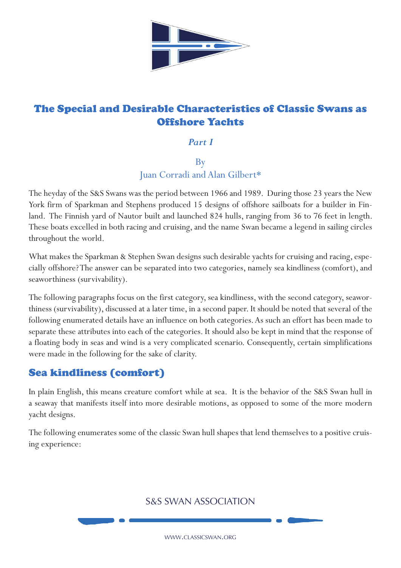

# The Special and Desirable Characteristics of Classic Swans as Offshore Yachts

#### *Part I*

### By Juan Corradi and Alan Gilbert\*

The heyday of the S&S Swans was the period between 1966 and 1989. During those 23 years the New York firm of Sparkman and Stephens produced 15 designs of offshore sailboats for a builder in Finland. The Finnish yard of Nautor built and launched 824 hulls, ranging from 36 to 76 feet in length. These boats excelled in both racing and cruising, and the name Swan became a legend in sailing circles throughout the world.

What makes the Sparkman & Stephen Swan designs such desirable yachts for cruising and racing, especially offshore? The answer can be separated into two categories, namely sea kindliness (comfort), and seaworthiness (survivability).

The following paragraphs focus on the first category, sea kindliness, with the second category, seaworthiness (survivability), discussed at a later time, in a second paper. It should be noted that several of the following enumerated details have an influence on both categories. As such an effort has been made to separate these attributes into each of the categories. It should also be kept in mind that the response of a floating body in seas and wind is a very complicated scenario. Consequently, certain simplifications were made in the following for the sake of clarity.

# Sea kindliness (comfort)

In plain English, this means creature comfort while at sea. It is the behavior of the S&S Swan hull in a seaway that manifests itself into more desirable motions, as opposed to some of the more modern yacht designs.

The following enumerates some of the classic Swan hull shapes that lend themselves to a positive cruising experience:

## S&S SWAN ASSOCIATION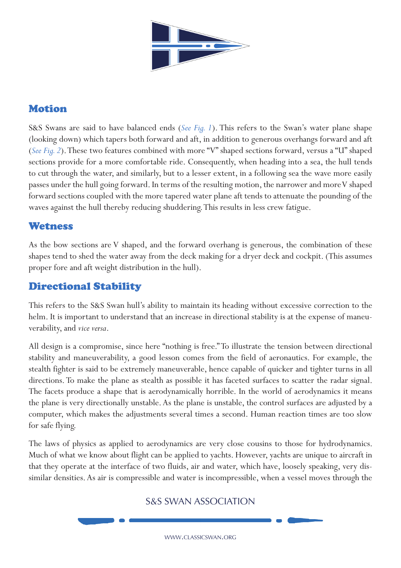

# Motion

S&S Swans are said to have balanced ends (*See Fig. 1*). This refers to the Swan's water plane shape (looking down) which tapers both forward and aft, in addition to generous overhangs forward and aft (*See Fig. 2*). These two features combined with more "V" shaped sections forward, versus a "U" shaped sections provide for a more comfortable ride. Consequently, when heading into a sea, the hull tends to cut through the water, and similarly, but to a lesser extent, in a following sea the wave more easily passes under the hull going forward. In terms of the resulting motion, the narrower and more V shaped forward sections coupled with the more tapered water plane aft tends to attenuate the pounding of the waves against the hull thereby reducing shuddering. This results in less crew fatigue.

### **Wetness**

As the bow sections are V shaped, and the forward overhang is generous, the combination of these shapes tend to shed the water away from the deck making for a dryer deck and cockpit. (This assumes proper fore and aft weight distribution in the hull).

## Directional Stability

This refers to the S&S Swan hull's ability to maintain its heading without excessive correction to the helm. It is important to understand that an increase in directional stability is at the expense of maneuverability, and *vice versa*.

All design is a compromise, since here "nothing is free." To illustrate the tension between directional stability and maneuverability, a good lesson comes from the field of aeronautics. For example, the stealth fighter is said to be extremely maneuverable, hence capable of quicker and tighter turns in all directions. To make the plane as stealth as possible it has faceted surfaces to scatter the radar signal. The facets produce a shape that is aerodynamically horrible. In the world of aerodynamics it means the plane is very directionally unstable. As the plane is unstable, the control surfaces are adjusted by a computer, which makes the adjustments several times a second. Human reaction times are too slow for safe flying.

The laws of physics as applied to aerodynamics are very close cousins to those for hydrodynamics. Much of what we know about flight can be applied to yachts. However, yachts are unique to aircraft in that they operate at the interface of two fluids, air and water, which have, loosely speaking, very dissimilar densities. As air is compressible and water is incompressible, when a vessel moves through the

### S&S SWAN ASSOCIATION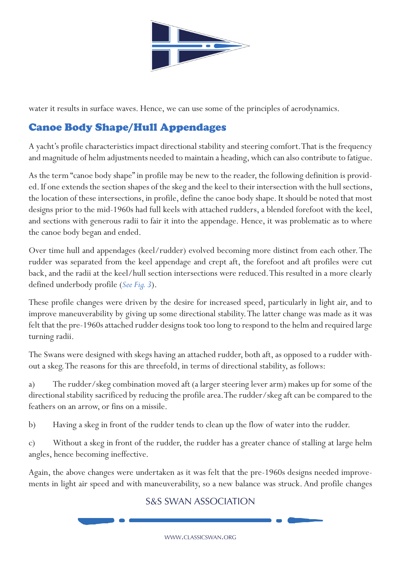

water it results in surface waves. Hence, we can use some of the principles of aerodynamics.

# Canoe Body Shape/Hull Appendages

A yacht's profile characteristics impact directional stability and steering comfort. That is the frequency and magnitude of helm adjustments needed to maintain a heading, which can also contribute to fatigue.

As the term "canoe body shape" in profile may be new to the reader, the following definition is provided. If one extends the section shapes of the skeg and the keel to their intersection with the hull sections, the location of these intersections, in profile, define the canoe body shape. It should be noted that most designs prior to the mid-1960s had full keels with attached rudders, a blended forefoot with the keel, and sections with generous radii to fair it into the appendage. Hence, it was problematic as to where the canoe body began and ended.

Over time hull and appendages (keel/rudder) evolved becoming more distinct from each other. The rudder was separated from the keel appendage and crept aft, the forefoot and aft profiles were cut back, and the radii at the keel/hull section intersections were reduced. This resulted in a more clearly defined underbody profile (*See Fig. 3*).

These profile changes were driven by the desire for increased speed, particularly in light air, and to improve maneuverability by giving up some directional stability. The latter change was made as it was felt that the pre-1960s attached rudder designs took too long to respond to the helm and required large turning radii.

The Swans were designed with skegs having an attached rudder, both aft, as opposed to a rudder without a skeg. The reasons for this are threefold, in terms of directional stability, as follows:

a) The rudder/skeg combination moved aft (a larger steering lever arm) makes up for some of the directional stability sacrificed by reducing the profile area. The rudder/skeg aft can be compared to the feathers on an arrow, or fins on a missile.

b) Having a skeg in front of the rudder tends to clean up the flow of water into the rudder.

c) Without a skeg in front of the rudder, the rudder has a greater chance of stalling at large helm angles, hence becoming ineffective.

Again, the above changes were undertaken as it was felt that the pre-1960s designs needed improvements in light air speed and with maneuverability, so a new balance was struck. And profile changes

## S&S SWAN ASSOCIATION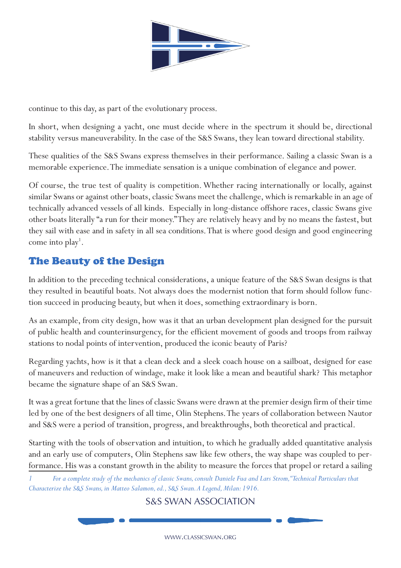

continue to this day, as part of the evolutionary process.

In short, when designing a yacht, one must decide where in the spectrum it should be, directional stability versus maneuverability. In the case of the S&S Swans, they lean toward directional stability.

These qualities of the S&S Swans express themselves in their performance. Sailing a classic Swan is a memorable experience. The immediate sensation is a unique combination of elegance and power.

Of course, the true test of quality is competition. Whether racing internationally or locally, against similar Swans or against other boats, classic Swans meet the challenge, which is remarkable in an age of technically advanced vessels of all kinds. Especially in long-distance offshore races, classic Swans give other boats literally "a run for their money." They are relatively heavy and by no means the fastest, but they sail with ease and in safety in all sea conditions. That is where good design and good engineering come into play<sup>1</sup>.

# The Beauty of the Design

In addition to the preceding technical considerations, a unique feature of the S&S Swan designs is that they resulted in beautiful boats. Not always does the modernist notion that form should follow function succeed in producing beauty, but when it does, something extraordinary is born.

As an example, from city design, how was it that an urban development plan designed for the pursuit of public health and counterinsurgency, for the efficient movement of goods and troops from railway stations to nodal points of intervention, produced the iconic beauty of Paris?

Regarding yachts, how is it that a clean deck and a sleek coach house on a sailboat, designed for ease of maneuvers and reduction of windage, make it look like a mean and beautiful shark? This metaphor became the signature shape of an S&S Swan.

It was a great fortune that the lines of classic Swans were drawn at the premier design firm of their time led by one of the best designers of all time, Olin Stephens. The years of collaboration between Nautor and S&S were a period of transition, progress, and breakthroughs, both theoretical and practical.

Starting with the tools of observation and intuition, to which he gradually added quantitative analysis and an early use of computers, Olin Stephens saw like few others, the way shape was coupled to performance. His was a constant growth in the ability to measure the forces that propel or retard a sailing

*1 For a complete study of the mechanics of classic Swans, consult Daniele Fua and Lars Strom, "Technical Particulars that Characterize the S&S Swans, in Matteo Salamon, ed., S&S Swan. A Legend, Milan: 1916.*

### S&S SWAN ASSOCIATION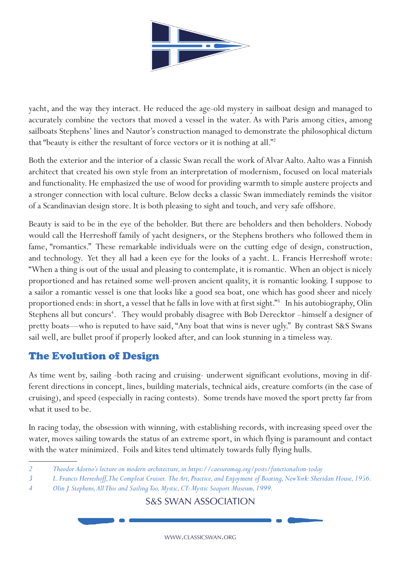

yacht, and the way they interact. He reduced the age-old mystery in sailboat design and managed to accurately combine the vectors that moved a vessel in the water. As with Paris among cities, among sailboats Stephens' lines and Nautor's construction managed to demonstrate the philosophical dictum that "beauty is either the resultant of force vectors or it is nothing at all."<sup>2</sup>

Both the exterior and the interior of a classic Swan recall the work of Alvar Aalto. Aalto was a Finnish architect that created his own style from an interpretation of modernism, focused on local materials and functionality. He emphasized the use of wood for providing warmth to simple austere projects and a stronger connection with local culture. Below decks a classic Swan immediately reminds the visitor of a Scandinavian design store. It is both pleasing to sight and touch, and very safe offshore.

Beauty is said to be in the eye of the beholder. But there are beholders and then beholders. Nobody would call the Herreshoff family of yacht designers, or the Stephens brothers who followed them in fame, "romantics." These remarkable individuals were on the cutting edge of design, construction, and technology. Yet they all had a keen eye for the looks of a yacht. L. Francis Herreshoff wrote: "When a thing is out of the usual and pleasing to contemplate, it is romantic. When an object is nicely proportioned and has retained some well-proven ancient quality, it is romantic looking. I suppose to a sailor a romantic vessel is one that looks like a good sea boat, one which has good sheer and nicely proportioned ends: in short, a vessel that he falls in love with at first sight."<sup>3</sup> In his autobiography, Olin Stephens all but concurs<sup>4</sup>. They would probably disagree with Bob Derecktor -himself a designer of pretty boats—who is reputed to have said, "Any boat that wins is never ugly." By contrast S&S Swans sail well, are bullet proof if properly looked after, and can look stunning in a timeless way.

# The Evolution of Design

As time went by, sailing -both racing and cruising- underwent significant evolutions, moving in different directions in concept, lines, building materials, technical aids, creature comforts (in the case of cruising), and speed (especially in racing contests). Some trends have moved the sport pretty far from what it used to be.

In racing today, the obsession with winning, with establishing records, with increasing speed over the water, moves sailing towards the status of an extreme sport, in which flying is paramount and contact with the water minimized. Foils and kites tend ultimately towards fully flying hulls.

*2 Theodor Adorno's lecture on modern architecture, in https://caesuramag.org/posts/functionalism-today*

S&S SWAN ASSOCIATION

*<sup>3</sup> L. Francis Herreshoff, The Compleat Cruiser. The Art, Practice, and Enjoyment of Boating, New York: Sheridan House, 1956.*

*<sup>4</sup> Olin J. Stephens, All This and Sailing Too, Mystic, CT: Mystic Seaport Museum, 1999.*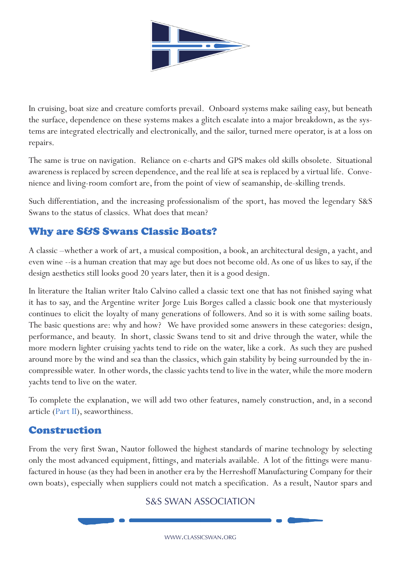

In cruising, boat size and creature comforts prevail. Onboard systems make sailing easy, but beneath the surface, dependence on these systems makes a glitch escalate into a major breakdown, as the systems are integrated electrically and electronically, and the sailor, turned mere operator, is at a loss on repairs.

The same is true on navigation. Reliance on e-charts and GPS makes old skills obsolete. Situational awareness is replaced by screen dependence, and the real life at sea is replaced by a virtual life. Convenience and living-room comfort are, from the point of view of seamanship, de-skilling trends.

Such differentiation, and the increasing professionalism of the sport, has moved the legendary S&S Swans to the status of classics. What does that mean?

# Why are S&S Swans Classic Boats?

A classic –whether a work of art, a musical composition, a book, an architectural design, a yacht, and even wine --is a human creation that may age but does not become old. As one of us likes to say, if the design aesthetics still looks good 20 years later, then it is a good design.

In literature the Italian writer Italo Calvino called a classic text one that has not finished saying what it has to say, and the Argentine writer Jorge Luis Borges called a classic book one that mysteriously continues to elicit the loyalty of many generations of followers. And so it is with some sailing boats. The basic questions are: why and how? We have provided some answers in these categories: design, performance, and beauty. In short, classic Swans tend to sit and drive through the water, while the more modern lighter cruising yachts tend to ride on the water, like a cork. As such they are pushed around more by the wind and sea than the classics, which gain stability by being surrounded by the incompressible water. In other words, the classic yachts tend to live in the water, while the more modern yachts tend to live on the water.

To complete the explanation, we will add two other features, namely construction, and, in a second article (Part II), seaworthiness.

### Construction

From the very first Swan, Nautor followed the highest standards of marine technology by selecting only the most advanced equipment, fittings, and materials available. A lot of the fittings were manufactured in house (as they had been in another era by the Herreshoff Manufacturing Company for their own boats), especially when suppliers could not match a specification. As a result, Nautor spars and

### S&S SWAN ASSOCIATION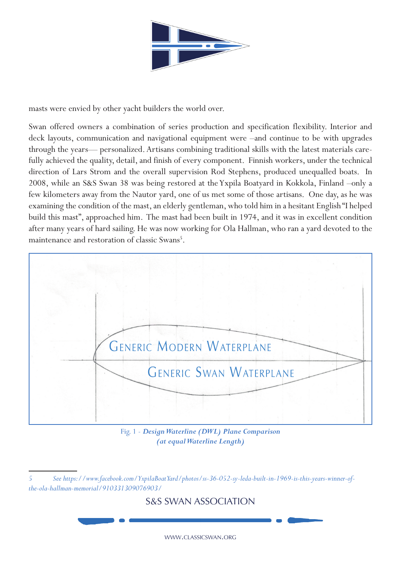

masts were envied by other yacht builders the world over.

Swan offered owners a combination of series production and specification flexibility. Interior and deck layouts, communication and navigational equipment were –and continue to be with upgrades through the years— personalized. Artisans combining traditional skills with the latest materials carefully achieved the quality, detail, and finish of every component. Finnish workers, under the technical direction of Lars Strom and the overall supervision Rod Stephens, produced unequalled boats. In 2008, while an S&S Swan 38 was being restored at the Yxpila Boatyard in Kokkola, Finland –only a few kilometers away from the Nautor yard, one of us met some of those artisans. One day, as he was examining the condition of the mast, an elderly gentleman, who told him in a hesitant English "I helped build this mast", approached him. The mast had been built in 1974, and it was in excellent condition after many years of hard sailing. He was now working for Ola Hallman, who ran a yard devoted to the maintenance and restoration of classic Swans<sup>5</sup>.



Fig. 1 - *Design Waterline (DWL) Plane Comparison (at equal Waterline Length)*

### S&S SWAN ASSOCIATION

*<sup>5</sup> See https://www.facebook.com/YxpilaBoatYard/photos/ss-36-052-sy-leda-built-in-1969-is-this-years-winner-ofthe-ola-hallman-memorial/910331309076903/*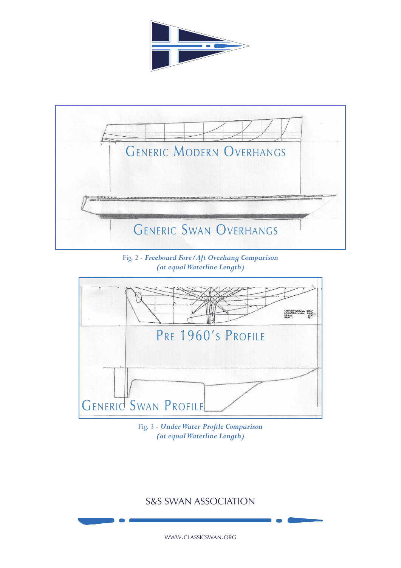



Fig. 2 - *Freeboard Fore/Aft Overhang Comparison (at equal Waterline Length)*



Fig. 3 - *Under Water Profile Comparison (at equal Waterline Length)*

## S&S SWAN ASSOCIATION